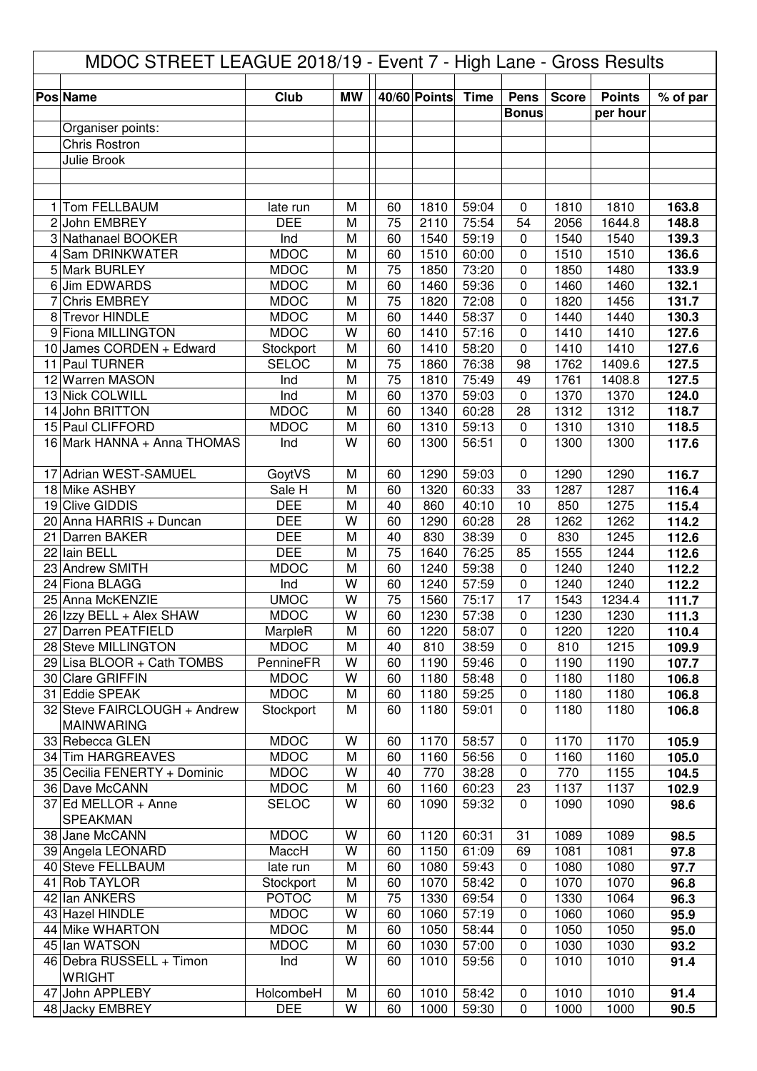| MDOC STREET LEAGUE 2018/19 - Event 7 - High Lane - Gross Results |                                                   |                            |           |          |                     |                |                             |              |                           |                |
|------------------------------------------------------------------|---------------------------------------------------|----------------------------|-----------|----------|---------------------|----------------|-----------------------------|--------------|---------------------------|----------------|
|                                                                  |                                                   |                            |           |          | <b>40/60 Points</b> | <b>Time</b>    |                             |              |                           |                |
|                                                                  | <b>Pos Name</b>                                   | Club                       | <b>MW</b> |          |                     |                | <b>Pens</b><br><b>Bonus</b> | <b>Score</b> | <b>Points</b><br>per hour | % of par       |
|                                                                  | Organiser points:                                 |                            |           |          |                     |                |                             |              |                           |                |
|                                                                  | <b>Chris Rostron</b>                              |                            |           |          |                     |                |                             |              |                           |                |
|                                                                  | Julie Brook                                       |                            |           |          |                     |                |                             |              |                           |                |
|                                                                  |                                                   |                            |           |          |                     |                |                             |              |                           |                |
|                                                                  |                                                   |                            |           |          |                     |                |                             |              |                           |                |
| 1                                                                | Tom FELLBAUM                                      | late run                   | M         | 60       | 1810                | 59:04          | 0                           | 1810         | 1810                      | 163.8          |
|                                                                  | 2 John EMBREY                                     | <b>DEE</b>                 | M         | 75       | 2110                | 75:54          | 54                          | 2056         | 1644.8                    | 148.8          |
|                                                                  | 3 Nathanael BOOKER                                | Ind                        | M         | 60       | 1540                | 59:19          | 0                           | 1540         | 1540                      | 139.3          |
| 4                                                                | Sam DRINKWATER<br>5 Mark BURLEY                   | <b>MDOC</b><br><b>MDOC</b> | M<br>M    | 60<br>75 | 1510<br>1850        | 60:00<br>73:20 | 0<br>0                      | 1510<br>1850 | 1510<br>1480              | 136.6<br>133.9 |
|                                                                  | 6 Jim EDWARDS                                     | <b>MDOC</b>                | M         | 60       | 1460                | 59:36          | 0                           | 1460         | 1460                      | 132.1          |
| 7                                                                | <b>Chris EMBREY</b>                               | <b>MDOC</b>                | M         | 75       | 1820                | 72:08          | 0                           | 1820         | 1456                      | 131.7          |
| 8                                                                | <b>Trevor HINDLE</b>                              | <b>MDOC</b>                | M         | 60       | 1440                | 58:37          | 0                           | 1440         | 1440                      | 130.3          |
| 9                                                                | <b>Fiona MILLINGTON</b>                           | <b>MDOC</b>                | W         | 60       | 1410                | 57:16          | 0                           | 1410         | 1410                      | 127.6          |
| 10                                                               | James CORDEN + Edward                             | Stockport                  | M         | 60       | 1410                | 58:20          | 0                           | 1410         | 1410                      | 127.6          |
| 11                                                               | Paul TURNER                                       | <b>SELOC</b>               | M         | 75       | 1860                | 76:38          | 98                          | 1762         | 1409.6                    | 127.5          |
|                                                                  | 12 Warren MASON                                   | Ind                        | M         | 75       | 1810                | 75:49          | 49                          | 1761         | 1408.8                    | 127.5          |
|                                                                  | 13 Nick COLWILL                                   | Ind                        | M         | 60       | 1370                | 59:03          | $\pmb{0}$                   | 1370         | 1370                      | 124.0          |
|                                                                  | 14 John BRITTON                                   | <b>MDOC</b>                | M         | 60       | 1340                | 60:28          | 28                          | 1312         | 1312                      | 118.7          |
|                                                                  | 15 Paul CLIFFORD                                  | <b>MDOC</b>                | M         | 60       | 1310                | 59:13          | 0                           | 1310         | 1310                      | 118.5          |
|                                                                  | 16 Mark HANNA + Anna THOMAS                       | Ind                        | W         | 60       | 1300                | 56:51          | $\overline{0}$              | 1300         | 1300                      | 117.6          |
|                                                                  | 17 Adrian WEST-SAMUEL                             | GoytVS                     | M         | 60       | 1290                | 59:03          | 0                           | 1290         | 1290                      | 116.7          |
|                                                                  | 18 Mike ASHBY                                     | Sale H                     | M         | 60       | 1320                | 60:33          | 33                          | 1287         | 1287                      | 116.4          |
|                                                                  | 19 Clive GIDDIS                                   | <b>DEE</b>                 | M         | 40       | 860                 | 40:10          | 10                          | 850          | 1275                      | 115.4          |
|                                                                  | 20 Anna HARRIS + Duncan                           | <b>DEE</b>                 | W         | 60       | 1290                | 60:28          | 28                          | 1262         | 1262                      | 114.2          |
| 21                                                               | <b>Darren BAKER</b>                               | <b>DEE</b>                 | M         | 40       | 830                 | 38:39          | $\pmb{0}$                   | 830          | 1245                      | 112.6          |
|                                                                  | 22 Iain BELL                                      | <b>DEE</b>                 | M         | 75       | 1640                | 76:25          | 85                          | 1555         | 1244                      | 112.6          |
| 23                                                               | <b>Andrew SMITH</b>                               | <b>MDOC</b>                | M<br>W    | 60<br>60 | 1240                | 59:38<br>57:59 | 0                           | 1240         | 1240                      | 112.2          |
|                                                                  | 24 Fiona BLAGG<br>25 Anna McKENZIE                | Ind<br><b>UMOC</b>         | W         | 75       | 1240<br>1560        | 75:17          | 0<br>17                     | 1240<br>1543 | 1240<br>1234.4            | 112.2<br>111.7 |
|                                                                  | 26 Izzy BELL + Alex SHAW                          | <b>MDOC</b>                | W         | 60       | 1230                | 57:38          | 0                           | 1230         | 1230                      | 111.3          |
|                                                                  | 27 Darren PEATFIELD                               | MarpleR                    | M         | 60       | 1220                | 58:07          | 0                           | 1220         | 1220                      | 110.4          |
|                                                                  | 28 Steve MILLINGTON                               | <b>MDOC</b>                | M         | 40       | 810                 | 38:59          | 0                           | 810          | 1215                      | 109.9          |
|                                                                  | 29 Lisa BLOOR + Cath TOMBS                        | PennineFR                  | W         | 60       | 1190                | 59:46          | $\mathbf 0$                 | 1190         | 1190                      | 107.7          |
|                                                                  | 30 Clare GRIFFIN                                  | <b>MDOC</b>                | W         | 60       | 1180                | 58:48          | 0                           | 1180         | 1180                      | 106.8          |
|                                                                  | 31 Eddie SPEAK                                    | <b>MDOC</b>                | M         | 60       | 1180                | 59:25          | $\pmb{0}$                   | 1180         | 1180                      | 106.8          |
|                                                                  | 32 Steve FAIRCLOUGH + Andrew<br><b>MAINWARING</b> | Stockport                  | M         | 60       | 1180                | 59:01          | $\mathbf 0$                 | 1180         | 1180                      | 106.8          |
|                                                                  | 33 Rebecca GLEN                                   | <b>MDOC</b>                | W         | 60       | 1170                | 58:57          | 0                           | 1170         | 1170                      | 105.9          |
|                                                                  | 34 Tim HARGREAVES                                 | <b>MDOC</b>                | M         | 60       | 1160                | 56:56          | 0                           | 1160         | 1160                      | 105.0          |
|                                                                  | 35 Cecilia FENERTY + Dominic                      | <b>MDOC</b>                | W         | 40       | 770                 | 38:28          | $\pmb{0}$                   | 770          | 1155                      | 104.5          |
|                                                                  | 36 Dave McCANN                                    | <b>MDOC</b>                | M         | 60       | 1160                | 60:23          | 23                          | 1137         | 1137                      | 102.9          |
|                                                                  | 37 Ed MELLOR + Anne                               | <b>SELOC</b>               | W         | 60       | 1090                | 59:32          | $\mathbf 0$                 | 1090         | 1090                      | 98.6           |
|                                                                  | SPEAKMAN                                          |                            |           |          |                     |                |                             |              |                           |                |
|                                                                  | 38 Jane McCANN                                    | <b>MDOC</b>                | W         | 60       | 1120                | 60:31          | 31                          | 1089         | 1089                      | 98.5           |
|                                                                  | 39 Angela LEONARD                                 | MaccH                      | W         | 60       | 1150                | 61:09          | 69                          | 1081         | 1081                      | 97.8           |
| 41                                                               | 40 Steve FELLBAUM<br><b>Rob TAYLOR</b>            | late run<br>Stockport      | M<br>M    | 60<br>60 | 1080<br>1070        | 59:43<br>58:42 | $\pmb{0}$<br>0              | 1080<br>1070 | 1080<br>1070              | 97.7<br>96.8   |
|                                                                  | 42 Ian ANKERS                                     | <b>POTOC</b>               | M         | 75       | 1330                | 69:54          | 0                           | 1330         | 1064                      | 96.3           |
|                                                                  | 43 Hazel HINDLE                                   | <b>MDOC</b>                | W         | 60       | 1060                | 57:19          | 0                           | 1060         | 1060                      | 95.9           |
|                                                                  | 44 Mike WHARTON                                   | <b>MDOC</b>                | M         | 60       | 1050                | 58:44          | $\pmb{0}$                   | 1050         | 1050                      | 95.0           |
|                                                                  | 45 Ian WATSON                                     | <b>MDOC</b>                | M         | 60       | 1030                | 57:00          | $\pmb{0}$                   | 1030         | 1030                      | 93.2           |
|                                                                  | 46 Debra RUSSELL + Timon                          | Ind                        | W         | 60       | 1010                | 59:56          | $\mathbf 0$                 | 1010         | 1010                      | 91.4           |
|                                                                  | <b>WRIGHT</b><br>47 John APPLEBY                  | HolcombeH                  | M         | 60       | 1010                | 58:42          | $\pmb{0}$                   | 1010         | 1010                      | 91.4           |
|                                                                  | 48 Jacky EMBREY                                   | <b>DEE</b>                 | W         | 60       | 1000                | 59:30          | $\pmb{0}$                   | 1000         | 1000                      | 90.5           |